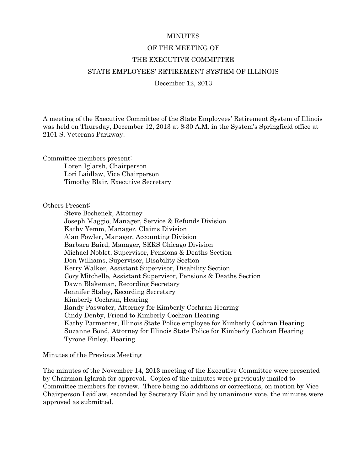## **MINUTES**

# OF THE MEETING OF

## THE EXECUTIVE COMMITTEE

# STATE EMPLOYEES' RETIREMENT SYSTEM OF ILLINOIS

## December 12, 2013

A meeting of the Executive Committee of the State Employees' Retirement System of Illinois was held on Thursday, December 12, 2013 at 8:30 A.M. in the System's Springfield office at 2101 S. Veterans Parkway.

Committee members present:

Loren Iglarsh, Chairperson Lori Laidlaw, Vice Chairperson Timothy Blair, Executive Secretary

Others Present:

Steve Bochenek, Attorney Joseph Maggio, Manager, Service & Refunds Division Kathy Yemm, Manager, Claims Division Alan Fowler, Manager, Accounting Division Barbara Baird, Manager, SERS Chicago Division Michael Noblet, Supervisor, Pensions & Deaths Section Don Williams, Supervisor, Disability Section Kerry Walker, Assistant Supervisor, Disability Section Cory Mitchelle, Assistant Supervisor, Pensions & Deaths Section Dawn Blakeman, Recording Secretary Jennifer Staley, Recording Secretary Kimberly Cochran, Hearing Randy Paswater, Attorney for Kimberly Cochran Hearing Cindy Denby, Friend to Kimberly Cochran Hearing Kathy Parmenter, Illinois State Police employee for Kimberly Cochran Hearing Suzanne Bond, Attorney for Illinois State Police for Kimberly Cochran Hearing Tyrone Finley, Hearing

### Minutes of the Previous Meeting

The minutes of the November 14, 2013 meeting of the Executive Committee were presented by Chairman Iglarsh for approval. Copies of the minutes were previously mailed to Committee members for review. There being no additions or corrections, on motion by Vice Chairperson Laidlaw, seconded by Secretary Blair and by unanimous vote, the minutes were approved as submitted.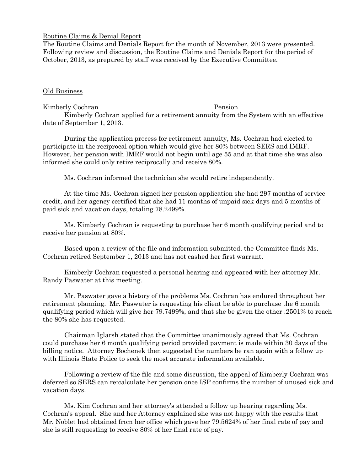# Routine Claims & Denial Report

The Routine Claims and Denials Report for the month of November, 2013 were presented. Following review and discussion, the Routine Claims and Denials Report for the period of October, 2013, as prepared by staff was received by the Executive Committee.

# Old Business

Kimberly Cochran Pension

Kimberly Cochran applied for a retirement annuity from the System with an effective date of September 1, 2013.

During the application process for retirement annuity, Ms. Cochran had elected to participate in the reciprocal option which would give her 80% between SERS and IMRF. However, her pension with IMRF would not begin until age 55 and at that time she was also informed she could only retire reciprocally and receive 80%.

Ms. Cochran informed the technician she would retire independently.

At the time Ms. Cochran signed her pension application she had 297 months of service credit, and her agency certified that she had 11 months of unpaid sick days and 5 months of paid sick and vacation days, totaling 78.2499%.

Ms. Kimberly Cochran is requesting to purchase her 6 month qualifying period and to receive her pension at 80%.

Based upon a review of the file and information submitted, the Committee finds Ms. Cochran retired September 1, 2013 and has not cashed her first warrant.

Kimberly Cochran requested a personal hearing and appeared with her attorney Mr. Randy Paswater at this meeting.

Mr. Paswater gave a history of the problems Ms. Cochran has endured throughout her retirement planning. Mr. Paswater is requesting his client be able to purchase the 6 month qualifying period which will give her 79.7499%, and that she be given the other .2501% to reach the 80% she has requested.

Chairman Iglarsh stated that the Committee unanimously agreed that Ms. Cochran could purchase her 6 month qualifying period provided payment is made within 30 days of the billing notice. Attorney Bochenek then suggested the numbers be ran again with a follow up with Illinois State Police to seek the most accurate information available.

Following a review of the file and some discussion, the appeal of Kimberly Cochran was deferred so SERS can re-calculate her pension once ISP confirms the number of unused sick and vacation days.

Ms. Kim Cochran and her attorney's attended a follow up hearing regarding Ms. Cochran's appeal. She and her Attorney explained she was not happy with the results that Mr. Noblet had obtained from her office which gave her 79.5624% of her final rate of pay and she is still requesting to receive 80% of her final rate of pay.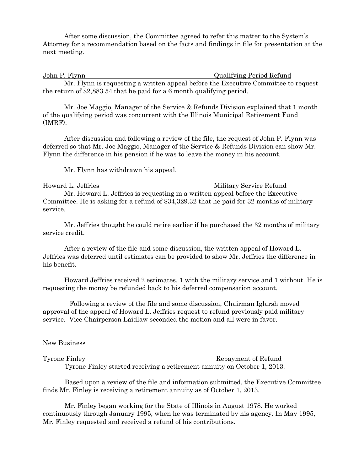After some discussion, the Committee agreed to refer this matter to the System's Attorney for a recommendation based on the facts and findings in file for presentation at the next meeting.

John P. Flynn Qualifying Period Refund

Mr. Flynn is requesting a written appeal before the Executive Committee to request the return of \$2,883.54 that he paid for a 6 month qualifying period.

Mr. Joe Maggio, Manager of the Service & Refunds Division explained that 1 month of the qualifying period was concurrent with the Illinois Municipal Retirement Fund (IMRF).

After discussion and following a review of the file, the request of John P. Flynn was deferred so that Mr. Joe Maggio, Manager of the Service & Refunds Division can show Mr. Flynn the difference in his pension if he was to leave the money in his account.

Mr. Flynn has withdrawn his appeal.

Howard L. Jeffries **Military Service Refund** Mr. Howard L. Jeffries is requesting in a written appeal before the Executive Committee. He is asking for a refund of \$34,329.32 that he paid for 32 months of military service.

Mr. Jeffries thought he could retire earlier if he purchased the 32 months of military service credit.

After a review of the file and some discussion, the written appeal of Howard L. Jeffries was deferred until estimates can be provided to show Mr. Jeffries the difference in his benefit.

Howard Jeffries received 2 estimates, 1 with the military service and 1 without. He is requesting the money be refunded back to his deferred compensation account.

Following a review of the file and some discussion, Chairman Iglarsh moved approval of the appeal of Howard L. Jeffries request to refund previously paid military service. Vice Chairperson Laidlaw seconded the motion and all were in favor.

# New Business

Tyrone Finley **Repayment of Refund** Tyrone Finley started receiving a retirement annuity on October 1, 2013.

 Based upon a review of the file and information submitted, the Executive Committee finds Mr. Finley is receiving a retirement annuity as of October 1, 2013.

 Mr. Finley began working for the State of Illinois in August 1978. He worked continuously through January 1995, when he was terminated by his agency. In May 1995, Mr. Finley requested and received a refund of his contributions.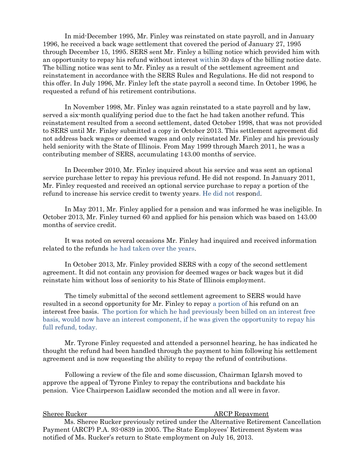In mid-December 1995, Mr. Finley was reinstated on state payroll, and in January 1996, he received a back wage settlement that covered the period of January 27, 1995 through December 15, 1995. SERS sent Mr. Finley a billing notice which provided him with an opportunity to repay his refund without interest within 30 days of the billing notice date. The billing notice was sent to Mr. Finley as a result of the settlement agreement and reinstatement in accordance with the SERS Rules and Regulations. He did not respond to this offer. In July 1996, Mr. Finley left the state payroll a second time. In October 1996, he requested a refund of his retirement contributions.

 In November 1998, Mr. Finley was again reinstated to a state payroll and by law, served a six-month qualifying period due to the fact he had taken another refund. This reinstatement resulted from a second settlement, dated October 1998, that was not provided to SERS until Mr. Finley submitted a copy in October 2013. This settlement agreement did not address back wages or deemed wages and only reinstated Mr. Finley and his previously held seniority with the State of Illinois. From May 1999 through March 2011, he was a contributing member of SERS, accumulating 143.00 months of service.

 In December 2010, Mr. Finley inquired about his service and was sent an optional service purchase letter to repay his previous refund. He did not respond. In January 2011, Mr. Finley requested and received an optional service purchase to repay a portion of the refund to increase his service credit to twenty years. He did not respond.

 In May 2011, Mr. Finley applied for a pension and was informed he was ineligible. In October 2013, Mr. Finley turned 60 and applied for his pension which was based on 143.00 months of service credit.

 It was noted on several occasions Mr. Finley had inquired and received information related to the refunds he had taken over the years.

 In October 2013, Mr. Finley provided SERS with a copy of the second settlement agreement. It did not contain any provision for deemed wages or back wages but it did reinstate him without loss of seniority to his State of Illinois employment.

 The timely submittal of the second settlement agreement to SERS would have resulted in a second opportunity for Mr. Finley to repay a portion of his refund on an interest free basis. The portion for which he had previously been billed on an interest free basis, would now have an interest component, if he was given the opportunity to repay his full refund, today.

 Mr. Tyrone Finley requested and attended a personnel hearing, he has indicated he thought the refund had been handled through the payment to him following his settlement agreement and is now requesting the ability to repay the refund of contributions.

 Following a review of the file and some discussion, Chairman Iglarsh moved to approve the appeal of Tyrone Finley to repay the contributions and backdate his pension. Vice Chairperson Laidlaw seconded the motion and all were in favor.

Sheree Rucker ARCP Repayment

Ms. Sheree Rucker previously retired under the Alternative Retirement Cancellation Payment (ARCP) P.A. 93-0839 in 2005. The State Employees' Retirement System was notified of Ms. Rucker's return to State employment on July 16, 2013.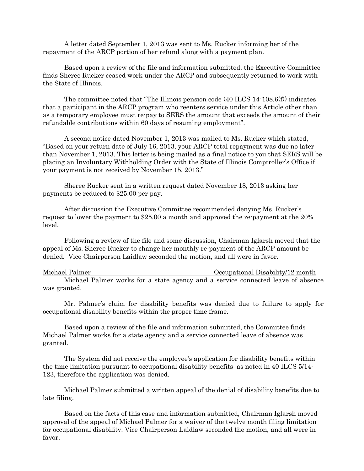A letter dated September 1, 2013 was sent to Ms. Rucker informing her of the repayment of the ARCP portion of her refund along with a payment plan.

Based upon a review of the file and information submitted, the Executive Committee finds Sheree Rucker ceased work under the ARCP and subsequently returned to work with the State of Illinois.

The committee noted that "The Illinois pension code  $(40$  ILCS  $14{\cdot}108.6(f)$  indicates that a participant in the ARCP program who reenters service under this Article other than as a temporary employee must re-pay to SERS the amount that exceeds the amount of their refundable contributions within 60 days of resuming employment".

A second notice dated November 1, 2013 was mailed to Ms. Rucker which stated, "Based on your return date of July 16, 2013, your ARCP total repayment was due no later than November 1, 2013. This letter is being mailed as a final notice to you that SERS will be placing an Involuntary Withholding Order with the State of Illinois Comptroller's Office if your payment is not received by November 15, 2013."

Sheree Rucker sent in a written request dated November 18, 2013 asking her payments be reduced to \$25.00 per pay.

After discussion the Executive Committee recommended denying Ms. Rucker's request to lower the payment to \$25.00 a month and approved the re-payment at the 20% level.

Following a review of the file and some discussion, Chairman Iglarsh moved that the appeal of Ms. Sheree Rucker to change her monthly re-payment of the ARCP amount be denied. Vice Chairperson Laidlaw seconded the motion, and all were in favor.

Michael Palmer Occupational Disability/12 month Michael Palmer works for a state agency and a service connected leave of absence was granted.

Mr. Palmer's claim for disability benefits was denied due to failure to apply for occupational disability benefits within the proper time frame.

Based upon a review of the file and information submitted, the Committee finds Michael Palmer works for a state agency and a service connected leave of absence was granted.

The System did not receive the employee's application for disability benefits within the time limitation pursuant to occupational disability benefits as noted in 40 ILCS 5/14- 123, therefore the application was denied.

Michael Palmer submitted a written appeal of the denial of disability benefits due to late filing.

Based on the facts of this case and information submitted, Chairman Iglarsh moved approval of the appeal of Michael Palmer for a waiver of the twelve month filing limitation for occupational disability. Vice Chairperson Laidlaw seconded the motion, and all were in favor.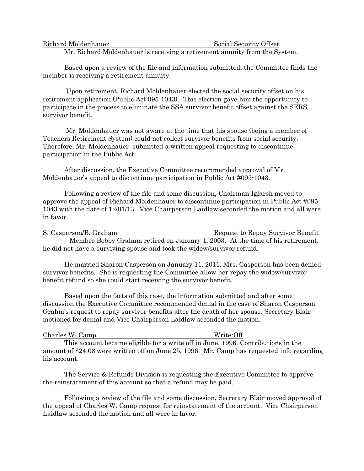| Richard Moldenhauer                                                                                                                                                                                                                                                                                                                |  |  |  | Social Security Offset |  |  |  |  |  |  |  |  |
|------------------------------------------------------------------------------------------------------------------------------------------------------------------------------------------------------------------------------------------------------------------------------------------------------------------------------------|--|--|--|------------------------|--|--|--|--|--|--|--|--|
| $\mathbf{r}$ $\mathbf{r}$ $\mathbf{r}$ $\mathbf{r}$ $\mathbf{r}$ $\mathbf{r}$ $\mathbf{r}$ $\mathbf{r}$ $\mathbf{r}$ $\mathbf{r}$ $\mathbf{r}$ $\mathbf{r}$ $\mathbf{r}$ $\mathbf{r}$ $\mathbf{r}$ $\mathbf{r}$ $\mathbf{r}$ $\mathbf{r}$ $\mathbf{r}$ $\mathbf{r}$ $\mathbf{r}$ $\mathbf{r}$ $\mathbf{r}$ $\mathbf{r}$ $\mathbf{$ |  |  |  |                        |  |  |  |  |  |  |  |  |

Mr. Richard Moldenhauer is receiving a retirement annuity from the System.

Based upon a review of the file and information submitted, the Committee finds the member is receiving a retirement annuity.

Upon retirement, Richard Moldenhauer elected the social security offset on his retirement application (Public Act 095-1043). This election gave him the opportunity to participate in the process to eliminate the SSA survivor benefit offset against the SERS survivor benefit.

Mr. Moldenhauer was not aware at the time that his spouse (being a member of Teachers Retirement System) could not collect survivor benefits from social security. Therefore, Mr. Moldenhauer submitted a written appeal requesting to discontinue participation in the Public Act.

After discussion, the Executive Committee recommended approval of Mr. Moldenhauer's appeal to discontinue participation in Public Act #095-1043.

Following a review of the file and some discussion, Chairman Iglarsh moved to approve the appeal of Richard Moldenhauer to discontinue participation in Public Act #095- 1043 with the date of 12/01/13. Vice Chairperson Laidlaw seconded the motion and all were in favor.

S. Casperson/B. Graham Request to Repay Survivor Benefit Member Bobby Graham retired on January 1, 2003. At the time of his retirement, he did not have a surviving spouse and took the widow/survivor refund.

He married Sharon Casperson on January 11, 2011. Mrs. Casperson has been denied survivor benefits. She is requesting the Committee allow her repay the widow/survivor benefit refund so she could start receiving the survivor benefit.

Based upon the facts of this case, the information submitted and after some discussion the Executive Committee recommended denial in the case of Sharon Casperson Grahm's request to repay survivor benefits after the death of her spouse. Secretary Blair motioned for denial and Vice Chairperson Laidlaw seconded the motion.

| Charles W. Camp |  |
|-----------------|--|
|                 |  |

Write-Off

This account became eligible for a write off in June, 1996. Contributions in the amount of \$24.08 were written off on June 25, 1996. Mr. Camp has requested info regarding his account.

The Service & Refunds Division is requesting the Executive Committee to approve the reinstatement of this account so that a refund may be paid.

Following a review of the file and some discussion, Secretary Blair moved approval of the appeal of Charles W. Camp request for reinstatement of the account. Vice Chairperson Laidlaw seconded the motion and all were in favor.